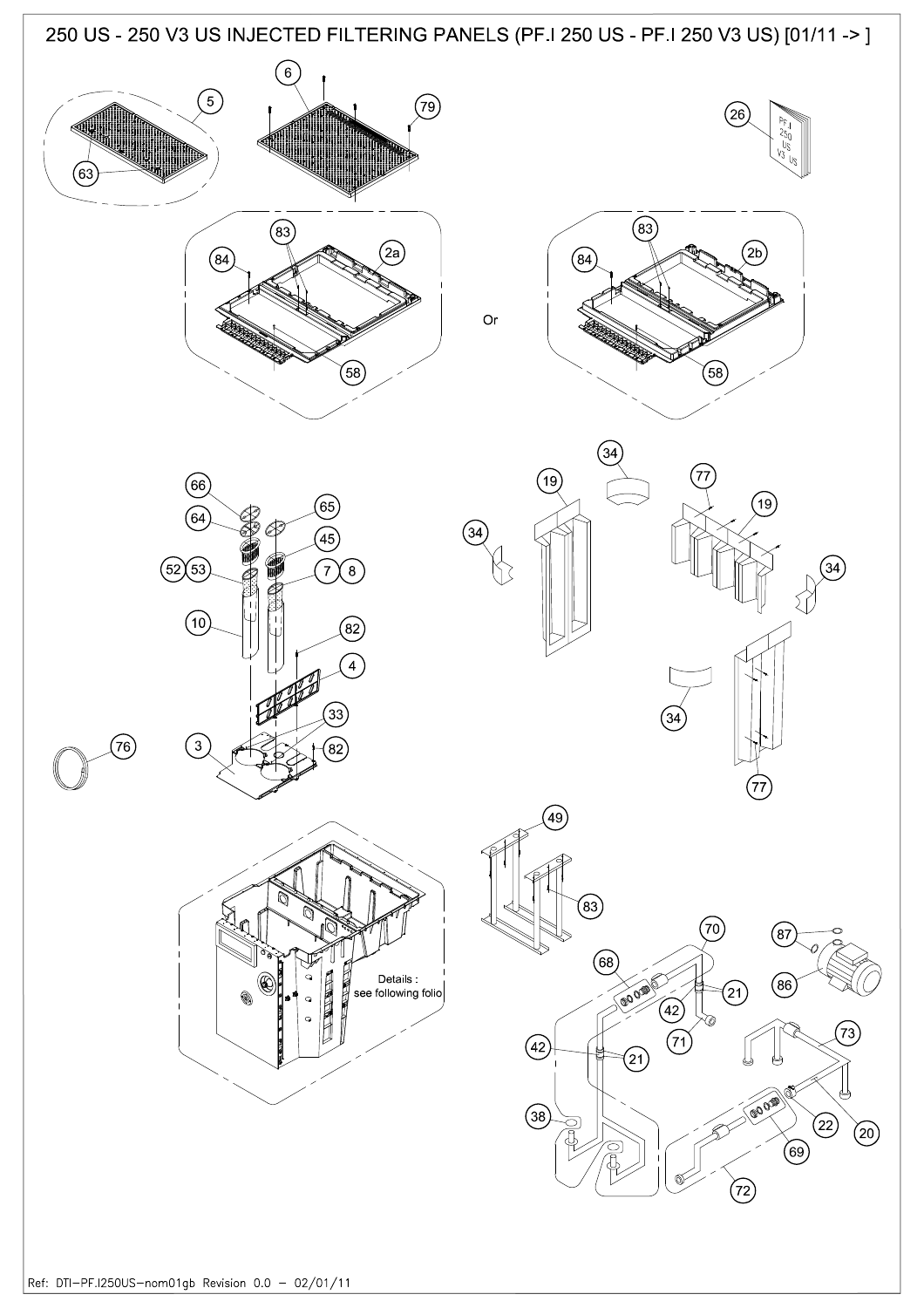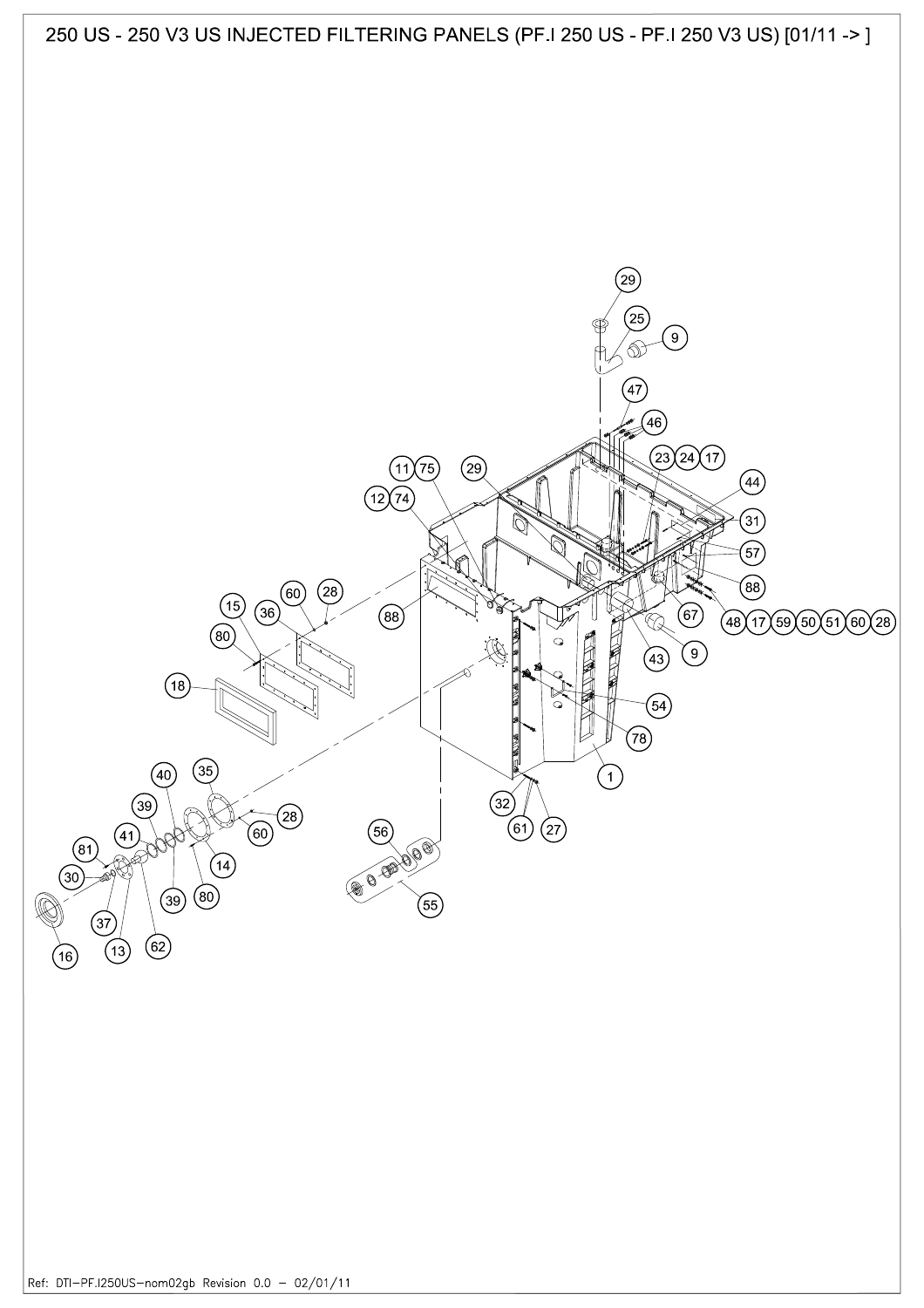